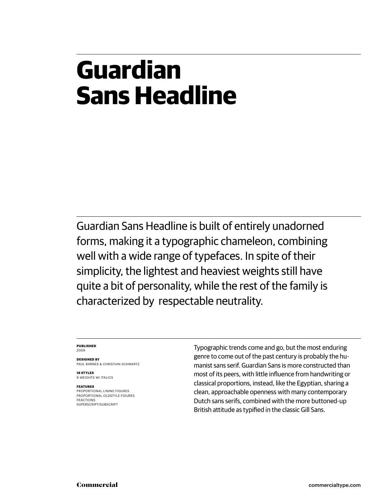#### **Guardian Sans Headline**

Guardian Sans Headline is built of entirely unadorned forms, making it a typographic chameleon, combining well with a wide range of typefaces. In spite of their simplicity, the lightest and heaviest weights still have quite a bit of personality, while the rest of the family is characterized by respectable neutrality.

#### **PUBLISHED** 2009

**DESIGNED BY** PAUL BARNES & CHRISTIAN SCHWARTZ

**18 STYLES** 9 WEIGHTS W/ ITALICS

#### **FEATURES**

PROPORTIONAL LINING FIGURES PROPORTIONAL OLDSTYLE FIGURES FRACTIONS SUPERSCRIPT/SUBSCRIPT

Typographic trends come and go, but the most enduring genre to come out of the past century is probably the humanist sans serif. Guardian Sans is more constructed than most of its peers, with little influence from handwriting or classical proportions, instead, like the Egyptian, sharing a clean, approachable openness with many contemporary Dutch sans serifs, combined with the more buttoned-up British attitude as typified in the classic Gill Sans.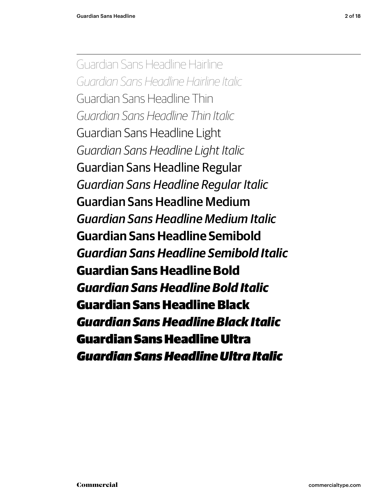Guardian Sans Headline Hairline Guardian Sans Headline Hairline Italic Guardian Sans Headline Thin Guardian Sans Headline Thin Italic Guardian Sans Headline Light Guardian Sans Headline Light Italic Guardian Sans Headline Regular Guardian Sans Headline Regular Italic Guardian Sans Headline Medium *Guardian Sans Headline Medium Italic* **Guardian Sans Headline Semibold Guardian Sans Headline Semibold Italic Guardian Sans Headline Bold Guardian Sans Headline Bold Italic** Guardian Sans Headline Black Guardian Sans Headline Black Italic Guardian Sans Headline Ultra *Guardian Sans Headline Ultra Italic*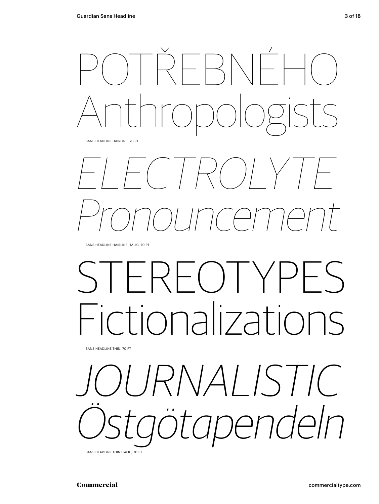

SANS HEADLINE HAIRLINE, 70 PT

# ELECTROLYTE Pronouncement

SANS HEADLINE HAIRLINE ITALIC, 70 PT

## $($   $)$   $|$ Fictionalizations

SANS HEADLINE THIN, 70 PT



SANS HEADLINE THIN ITALIC, 70 PT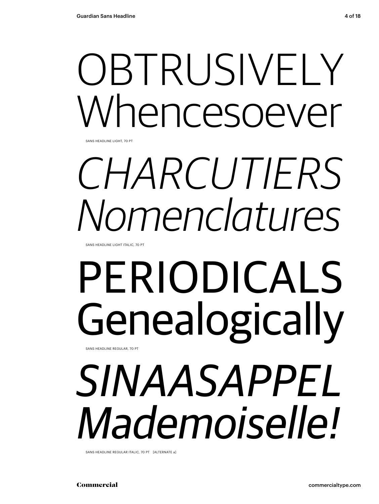# OBTRUSIVELY Whencesoever

SANS HEADLINE LIGHT, 70 PT

# CHARCUTIERS Nomenclatures

SANS HEADLINE LIGHT ITALIC, 70 PT

## PERIODICALS Genealogically SANS HEADLINE REGULAR, 70 PT

## SINAASAPPEL Mademoiselle!

SANS HEADLINE REGULAR ITALIC, 70 PT [ALTERNATE a]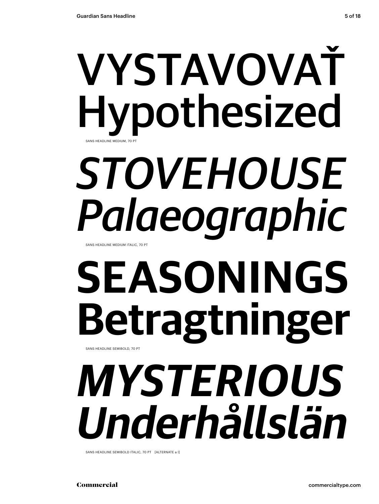## VYSTAVOVAŤ Hypothesized SANS HEADLINE MEDIUM, 70 PT

## *STOVEHOUSE Palaeographic* SANS HEADLINE MEDIUM ITALIC, 70 PT

## **SEASONINGS Betragtninger** SANS HEADLINE SEMIBOLD, 70 PT

# **MYSTERIOUS Underhållslän**

SANS HEADLINE SEMIBOLD ITALIC, 70 PT [ALTERNATE a l]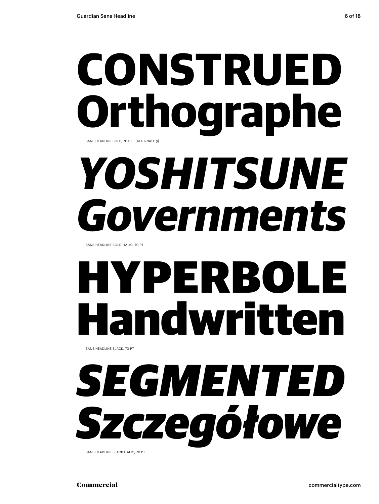## **CONSTRUED Orthographe** SANS HEADLINE BOLD, 70 PT [ALTERNATE g]

# **YOSHITSUNE Governments**

SANS HEADLINE BOLD ITALIC, 70 PT

# HYPERBOLE Handwritten

SANS HEADLINE BLACK, 70 PT

# SEGMENTED Szczegółowe

SANS HEADLINE BLACK ITALIC, 70 PT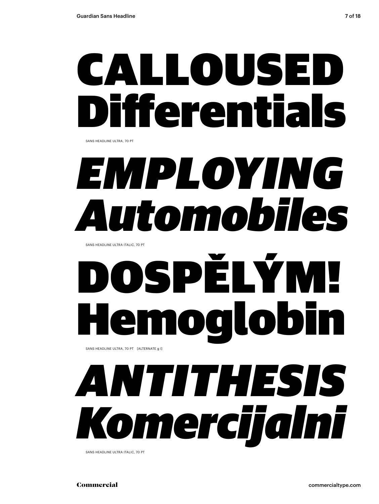## CALLOUSED Diff erentials

SANS HEADLINE ULTRA, 70 PT

## *EMPLOYING Automobiles*

SANS HEADLINE ULTRA ITALIC, 70 PT

## DSPĖLÝM Dalobi SANS HEADLINE ULTRA, 70 PT [ALTERNATE g I]

# *ANTITHESIS Komercijalni*

SANS HEADLINE ULTRA ITALIC, 70 PT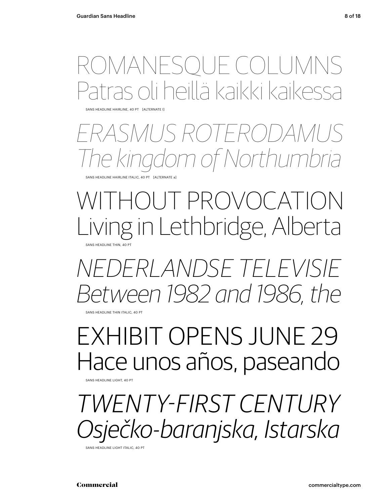### ROMANESQUE COLUMNS paillä kaikki kaikes

SANS HEADLINE HAIRLINE, 40 PT [ALTERNATE l]

### ERASMUS ROTERODAMUS m of Northumbria

SANS HEADLINE HAIRLINE ITALIC, 40 PT [ALTERNATE a]

#### )I IT PROVOCATION in Lethbridge, Alberta SANS HEADLINE THIN, 40 PT

NEDERLANDSE TELEVISIE Between 1982 and 1986, the

SANS HEADLINE THIN ITALIC, 40 PT

### EXHIBIT OPENS JUNE 29 Hace unos años, paseando

SANS HEADLINE LIGHT, 40 PT

TWENTY-FIRST CENTURY sječko-baranjska, Istarska

SANS HEADLINE LIGHT ITALIC, 40 PT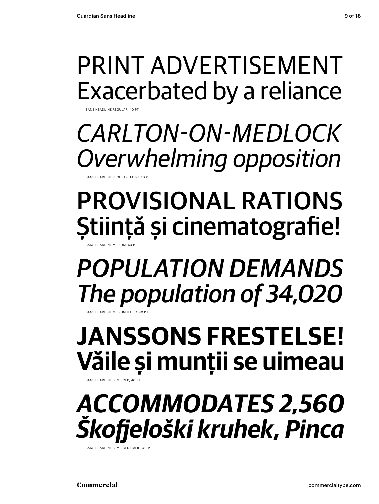SANS HEADLINE REGULAR, 40 P

PRINT ADVERTISEMENT Exacerbated by a reliance

CARLTON-ON-MEDLOCK Overwhelming opposition SANS HEADLINE REGULAR ITALIC, 40 P

### PROVISIONAL RATIONS Știință și cinematografie!

SANS HEADLINE MEDIUM, 40 PT

*POPULATION DEMANDS The population of 34,020*

**JANSSONS FRESTELSE! Văile și munţii se uimeau**

SANS HEADLINE SEMIBOLD, 40 PT

SANS HEADLINE MEDIUM ITALIC, 40 PT

### **ACCOMMODATES 2,560 Škofj eloški kruhek, Pinca**

SANS HEADLINE SEMIROLD ITALIC, 40 PT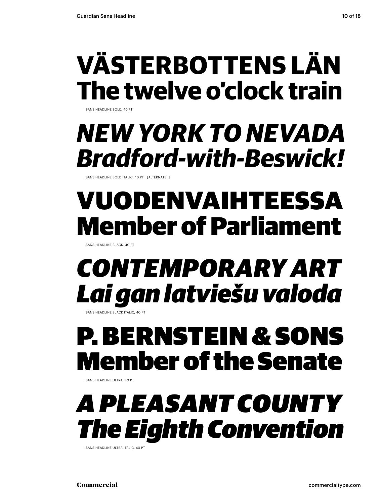## **VÄSTERBOTTENS LÄN The twelve o'clock train**

SANS HEADLINE BOLD, 40 PT

### **NEW YORK TO NEVADA Bradford-with-Beswick!**

SANS HEADLINE BOLD ITALIC, 40 PT [ALTERNATE f]

### VUODENVAIHTEESSA Member of Parliament

SANS HEADLINE BLACK, 40 PT

### CONTEMPORARY ART Lai gan latviešu valoda

SANS HEADLINE BLACK ITALIC, 40 PT

### P. BERNSTEIN & SONS nber of the Senate

SANS HEADLINE ULTRA, 40 PT

### *A PLEASANT COUNTY The Eighth Convention*

SANS HEADLINE ULTRA ITALIC, 40 PT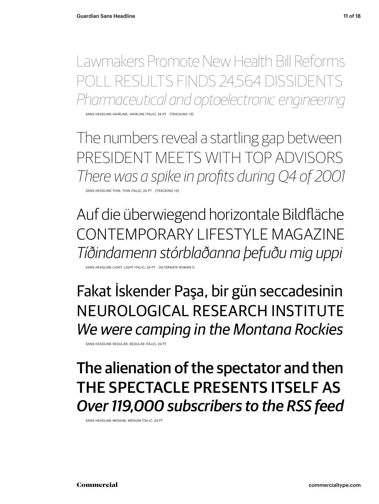Lawmakers Promote New Health Bill Reforms POLL RESULTS FINDS 24,564 DISSIDENTS Pharmaceutical and optoelectronic engineering

SANS HEADLINE HAIRLINE, HAIRLINE ITALIC, 24 PT [TRACKING +5

The numbers reveal a startling gap between PRESIDENT MEETS WITH TOP ADVISORS There was a spike in profits during Q4 of 2001

SANS HEADLINE THIN, THIN ITALIC, 24 PT [TRACKING +5]

Auf die überwiegend horizontale Bildfläche CONTEMPORARY LIFESTYLE MAGAZINE Tíðindamenn stórblaðanna þefuðu mig uppi

SANS HEADLINE LIGHT, LIGHT ITALIC, 24 PT [ALTERNATE ROMAN l]

Fakat İskender Paşa, bir gün seccadesinin NEUROLOGICAL RESEARCH INSTITUTE We were camping in the Montana Rockies

SANS HEADLINE REGULAR, REGULAR ITALIC, 24 PT

#### The alienation of the spectator and then THE SPECTACLE PRESENTS ITSELF AS *Over 119,000 subscribers to the RSS feed*

SANS HEADLINE MEDIUM, MEDIUM ITALIC, 24 PT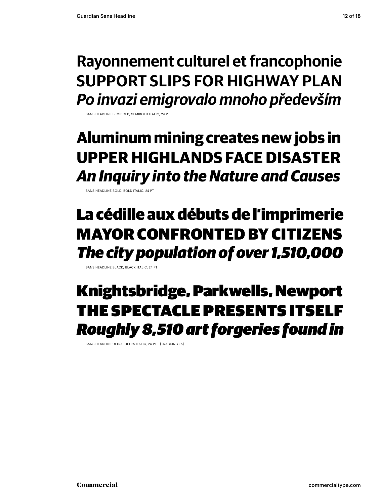#### **Rayonnement culturel et francophonie SUPPORT SLIPS FOR HIGHWAY PLAN Po invazi emigrovalo mnoho především**

SANS HEADLINE SEMIBOLD, SEMIBOLD ITALIC, 24 PT

#### **Aluminum mining creates new jobs in UPPER HIGHLANDS FACE DISASTER An Inquiry into the Nature and Causes**

SANS HEADLINE BOLD, BOLD ITALIC, 24 PT

#### La cédille aux débuts de l'imprimerie MAYOR CONFRONTED BY CITIZENS The city population of over 1,510,000

SANS HEADLINE BLACK, BLACK ITALIC, 24 PT

#### Knightsbridge, Parkwells, Newport THE SPECTACLE PRESENTS ITSELF *Roughly 8,510 art forgeries found in*

SANS HEADLINE ULTRA, ULTRA ITALIC, 24 PT [TRACKING +5]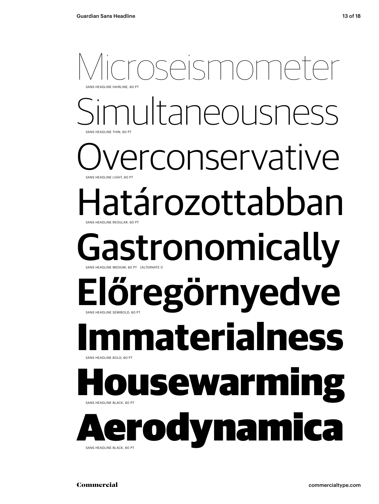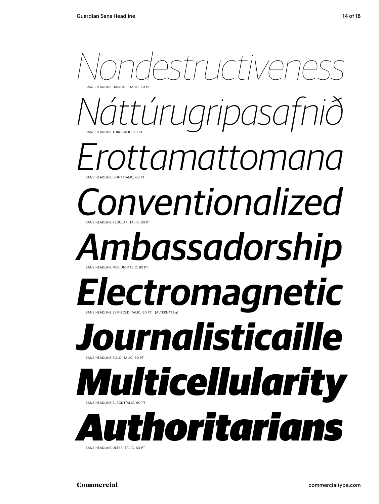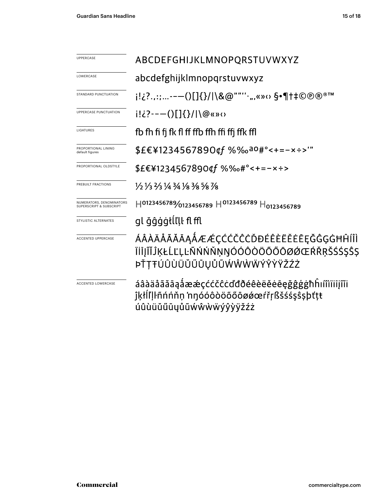| <b>UPPERCASE</b>                                               | ABCDEFGHIJKLMNOPQRSTUVWXYZ                                                                                         |  |
|----------------------------------------------------------------|--------------------------------------------------------------------------------------------------------------------|--|
| LOWERCASE                                                      | abcdefghijklmnopqrstuvwxyz                                                                                         |  |
| STANDARD PUNCTUATION                                           | i!¿?.,:;--—()[]{}/ \&@""''·",«»⇔§•¶†‡©®®™                                                                          |  |
| UPPERCASE PUNCTUATION                                          | $i! \in \{2 \cdot - - (\int [ {\{ \} } / ] \cdot {\emptyset} \times {\emptyset} ) \}$                              |  |
| LIGATURES                                                      | fb fh fi fi fk fl ff ffb ffh ffi ffj ffk ffl                                                                       |  |
| PROPORTIONAL LINING<br>default figures                         | \$£€¥1234567890¢f %‰a0#°<+=-x÷>'"                                                                                  |  |
| PROPORTIONAL OLDSTYLE                                          | $$E€¥1234567890$ qf %‰#°<+=-x÷>                                                                                    |  |
| PREBUILT FRACTIONS                                             | 1/2 1/3 2/3 1/4 3/4 1/8 3/8 5/8 7/8                                                                                |  |
| NUMERATORS, DENOMINATORS<br><b>SUPERSCRIPT &amp; SUBSCRIPT</b> | $H^{0123456789}$ 0123456789 $H^{0123456789}$ $H_{0123456789}$                                                      |  |
| STYLISTIC ALTERNATES                                           | gl ğĝģģtĺľll fl ffl                                                                                                |  |
| <b>ACCENTED UPPERCASE</b>                                      | ÁÂÀÄÅÃĂĀĄÅÆÆÇĆĆČĊĎĐÉÊÈËĔĒĘĞĜĢĠĦĤÍÎÌ<br>ÏİĪJĨĬĴĶŁĹĽĻĿÑŃŃŇŅŊÓÓÔŎŎŐŎØØŒŔŘŖŠŚŚŞŜŞ<br>ÞŤŢŦÚÛÙÜŬŰŨŲŮŨŴŴŴŴÝŶŸŽŹŻ          |  |
| <b>ACCENTED LOWERCASE</b>                                      | áâàäåãăāąåææçććčĉċďđðéêèëěēeğĝġġħĥıíîìïiijĩĭi<br>ĵķłĺľļŀñńńňn nnóóôòöõőōøøœŕřŗßšśśşŝşþťtŧ<br>úûùüŭűūyůũẃŵẁẅýŷỳÿžźż |  |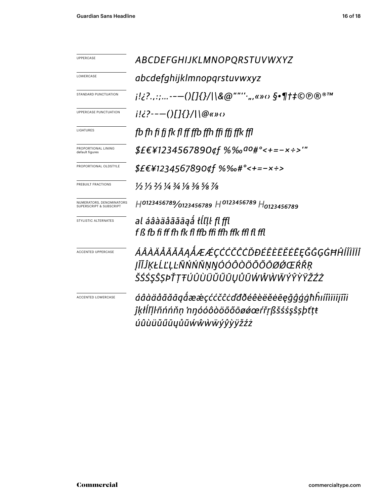| UPPERCASE                                           | ABCDEFGHIJKLMNOPQRSTUVWXYZ                                                                                           |  |
|-----------------------------------------------------|----------------------------------------------------------------------------------------------------------------------|--|
| LOWERCASE                                           | abcdefghijklmnopqrstuvwxyz                                                                                           |  |
| STANDARD PUNCTUATION                                | j!¿?.,:;--—()[]{}/ \&@""'' <sub>'</sub> ",«»‹› §•¶†‡©℗®®™                                                            |  |
| UPPERCASE PUNCTUATION                               | $i!i$ ?---()[]{}/ \@«» $\circ$                                                                                       |  |
| LIGATURES                                           | fb fh fi fi fk fl ff ffb ffh ffi ffi ffk ffl                                                                         |  |
| PROPORTIONAL LINING<br>default figures              | $$E€Y1234567890$ qf %‰ <sup>ao</sup> #°<+=-x÷>'"                                                                     |  |
| PROPORTIONAL OLDSTYLE                               | \$£€¥1234567890¢f %‰#°<+=-x÷>                                                                                        |  |
| PREBUILT FRACTIONS                                  | 1/2 1/3 2/3 1/4 3/4 1/8 3/8 5/8 7/8                                                                                  |  |
| NUMERATORS, DENOMINATORS<br>SUPERSCRIPT & SUBSCRIPT | H0123456789/0123456789 H0123456789 H0123456789                                                                       |  |
| STYLISTIC ALTERNATES                                | al áâàäåããāaå tĺľḷŀ fl ffl<br>f ß fb fi ff fb fk fl ffb ffi ffb ffk ffl fl ffl                                       |  |
| <b>ACCENTED UPPERCASE</b>                           | ÁÂÀÄÅÃĂĀĄÅÆÆÇĆĆČĈŎĐÉÊÈËĔĔĘĞĜĢĠĦĤĺÎÌÏĬĪ<br>ĮĨĬĴĶŁĹĽĻĿÑŃŃŇŅŊÓÓÔŎÖŐŐŌØŹŒŔŘŖ<br>ŠŚŚŞŜŞÞŤŢŦÚÛÙÜŬŰŨŲŮŨŴŴŴŴÝŶŸŸŽŹŻ          |  |
| <b>ACCENTED LOWERCASE</b>                           | áâàäåããāgåææçććčĉcďđðéêèëĕėēęğĝģġħĥıíîìïiījĩĭi<br>ĵķłĺľļŀñńńňņ 'nŋóóôòöõőōøǿœŕřŗßšśśşŝṣþťṭŧ<br>úûùüŭűūyůũẃŵẁẅýŷỳÿžźż |  |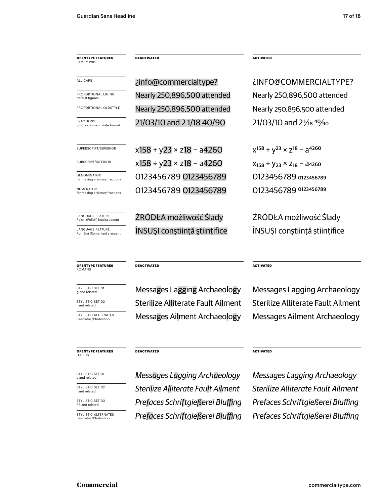| <b>OPENTYPE FEATURES</b><br><b>FAMILY WIDE</b>           | <b>DEACTIVATED</b>          | <b>ACTIVATED</b>                                 |  |
|----------------------------------------------------------|-----------------------------|--------------------------------------------------|--|
|                                                          |                             |                                                  |  |
| ALL CAPS                                                 | info@commercialtype?        | ¿INFO@COMMERCIALTYPE?                            |  |
| PROPORTIONAL LINING<br>default figures                   | Nearly 250,896,500 attended | Nearly 250,896,500 attended                      |  |
| PROPORTIONAL OLDSTYLE                                    | Nearly 250,896,500 attended | Nearly 250,896,500 attended                      |  |
| <b>FRACTIONS</b><br>ignores numeric date format          | 21/03/10 and 21/18 40/90    | 21/03/10 and 21/ <sub>18</sub> 40/ <sub>90</sub> |  |
| SUPERSCRIPT/SUPERIOR                                     | x158 + y23 × z18 - a4260    | $x^{158} + y^{23} \times z^{18} - a^{4260}$      |  |
| SUBSCRIPT/INFERIOR                                       | x158 ÷ y23 × z18 – a4260    | $X_{158} \div Y_{23} \times Z_{18}$ – 34260      |  |
| <b>DENOMINATOR</b><br>for making arbitrary fractions     | 0123456789 0123456789       | 0123456789 0123456789                            |  |
| <b>NUMERATOR</b><br>for making arbitrary fractions       | 0123456789 0123456789       | 0123456789 0123456789                            |  |
| <b>LANGUAGE FEATURE</b><br>Polski (Polish) kreska accent | ŹRÓDŁA możliwość Ślady      | ŹRÓDŁA możliwość Ślady                           |  |

LANGUAGE FEATURE<br>Română (Romanian) s

**OPENTYPE FEATURES** ROMANS

STYLISTIC SET 01<br>g and related

STYLISTIC SET 02<br>I and related

STYLISTIC ALTERNATES<br>Illustrator/Photoshop

#### **OPENTYPE FEATURES** ITALICS

STYLISTIC SET 01<br>a and related

STYLISTIC SET 02<br>I and related

STYLISTIC SET 03<br>f ß and related

STYLISTIC ALTERNATES<br>Illustrator/Photoshop

<sup>NTURE</sup> (ROMână (ROMÂN) în ÎNSUȘI conștiință științifice de de ÎNSUȘI conștiință științifice

**DEACTIVATED** ACTIVATED

Messages Lagging Archaeology Messages Lagging Archaeology Sterilize Alliterate Fault Ailment Sterilize Alliterate Fault Ailment Messages Ailment Archaeology Messages Ailment Archaeology

#### **DEACTIVATED ACTIVATED**

Prefaces Schriftgießerei Bluffing Prefaces Schriftgießerei Bluffing Prefaces Schriftgießerei Bluffing Prefaces Schriftgießerei Bluffing Messages Lagging Archaeology Messages Lagging Archaeology Sterilize Alliterate Fault Ailment Sterilize Alliterate Fault Ailment